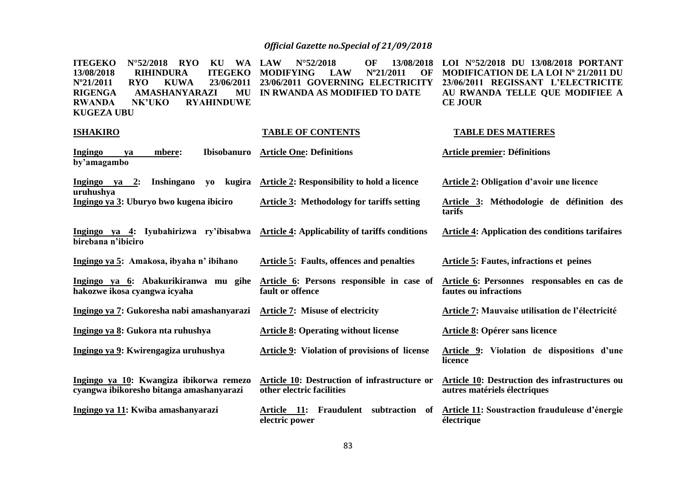| <b>ITEGEKO</b><br>$N^{\circ}52/2018$ RYO<br>KU<br>13/08/2018<br><b>ITEGEKO</b><br><b>RIHINDURA</b><br>N°21/2011<br><b>RYO</b><br><b>KUWA</b><br>23/06/2011<br><b>RIGENGA</b><br>AMASHANYARAZI<br>MU<br>NK'UKO<br><b>RYAHINDUWE</b><br><b>RWANDA</b><br><b>KUGEZA UBU</b> | 13/08/2018<br>WA LAW<br>$N^{\circ}52/2018$<br>OF<br><b>LAW</b><br>$N^{\circ}21/2011$<br><b>MODIFYING</b><br>OF<br>23/06/2011 GOVERNING ELECTRICITY<br>IN RWANDA AS MODIFIED TO DATE | LOI Nº52/2018 DU 13/08/2018 PORTANT<br><b>MODIFICATION DE LA LOI Nº 21/2011 DU</b><br>23/06/2011 REGISSANT L'ELECTRICITE<br>AU RWANDA TELLE QUE MODIFIEE A<br><b>CE JOUR</b> |
|--------------------------------------------------------------------------------------------------------------------------------------------------------------------------------------------------------------------------------------------------------------------------|-------------------------------------------------------------------------------------------------------------------------------------------------------------------------------------|------------------------------------------------------------------------------------------------------------------------------------------------------------------------------|
| <b>ISHAKIRO</b>                                                                                                                                                                                                                                                          | <b>TABLE OF CONTENTS</b>                                                                                                                                                            | <b>TABLE DES MATIERES</b>                                                                                                                                                    |
| Ibisobanuro<br><b>Ingingo</b><br>mbere:<br>ya<br>by'amagambo                                                                                                                                                                                                             | <b>Article One: Definitions</b>                                                                                                                                                     | <b>Article premier: Définitions</b>                                                                                                                                          |
| <b>Inshingano</b><br>kugira<br><u>Ingingo ya 2:</u><br>yo<br>uruhushya                                                                                                                                                                                                   | <b>Article 2: Responsibility to hold a licence</b>                                                                                                                                  | <b>Article 2: Obligation d'avoir une licence</b>                                                                                                                             |
| Ingingo ya 3: Uburyo bwo kugena ibiciro                                                                                                                                                                                                                                  | <b>Article 3: Methodology for tariffs setting</b>                                                                                                                                   | Article 3: Méthodologie de définition des<br>tarifs                                                                                                                          |
| Ingingo ya 4: Iyubahirizwa ry'ibisabwa Article 4: Applicability of tariffs conditions<br>birebana n'ibiciro                                                                                                                                                              |                                                                                                                                                                                     | <b>Article 4: Application des conditions tarifaires</b>                                                                                                                      |
| Ingingo ya 5: Amakosa, ibyaha n' ibihano                                                                                                                                                                                                                                 | <b>Article 5: Faults, offences and penalties</b>                                                                                                                                    | <b>Article 5: Fautes, infractions et peines</b>                                                                                                                              |
| Ingingo ya 6: Abakurikiranwa mu gihe<br>hakozwe ikosa cyangwa icyaha                                                                                                                                                                                                     | Article 6: Persons responsible in case of<br>fault or offence                                                                                                                       | Article 6: Personnes responsables en cas de<br>fautes ou infractions                                                                                                         |
| Ingingo ya 7: Gukoresha nabi amashanyarazi                                                                                                                                                                                                                               | <b>Article 7: Misuse of electricity</b>                                                                                                                                             | Article 7: Mauvaise utilisation de l'électricité                                                                                                                             |
| Ingingo ya 8: Gukora nta ruhushya                                                                                                                                                                                                                                        | <b>Article 8: Operating without license</b>                                                                                                                                         | Article 8: Opérer sans licence                                                                                                                                               |
| Ingingo ya 9: Kwirengagiza uruhushya                                                                                                                                                                                                                                     | <b>Article 9: Violation of provisions of license</b>                                                                                                                                | Article 9: Violation de dispositions d'une<br>licence                                                                                                                        |
| Ingingo ya 10: Kwangiza ibikorwa remezo<br>cyangwa ibikoresho bitanga amashanyarazi                                                                                                                                                                                      | Article 10: Destruction of infrastructure or<br>other electric facilities                                                                                                           | Article 10: Destruction des infrastructures ou<br>autres matériels électriques                                                                                               |
| Ingingo ya 11: Kwiba amashanyarazi                                                                                                                                                                                                                                       | Fraudulent<br>Article 11:<br>subtraction<br>of<br>electric power                                                                                                                    | Article 11: Soustraction frauduleuse d'énergie<br>électrique                                                                                                                 |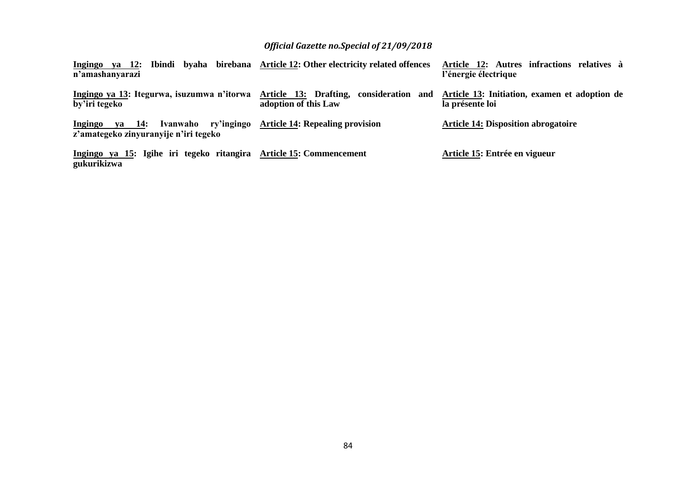| Ingingo ya 12: Ibindi byaha birebana Article 12: Other electricity related offences<br>n'amashanyarazi |                                                     | Article 12: Autres infractions relatives à<br>l'énergie électrique |
|--------------------------------------------------------------------------------------------------------|-----------------------------------------------------|--------------------------------------------------------------------|
| Ingingo ya 13: Itegurwa, isuzumwa n'itorwa Article 13: Drafting, consideration and<br>by'iri tegeko    | adoption of this Law                                | Article 13: Initiation, examen et adoption de<br>la présente loi   |
| Ingingo ya 14:<br>z'amategeko zinyuranyije n'iri tegeko                                                | Ivanwaho ry'ingingo Article 14: Repealing provision | <b>Article 14: Disposition abrogatoire</b>                         |
| Ingingo ya 15: Igihe iri tegeko ritangira Article 15: Commencement<br>gukurikizwa                      |                                                     | Article 15: Entrée en vigueur                                      |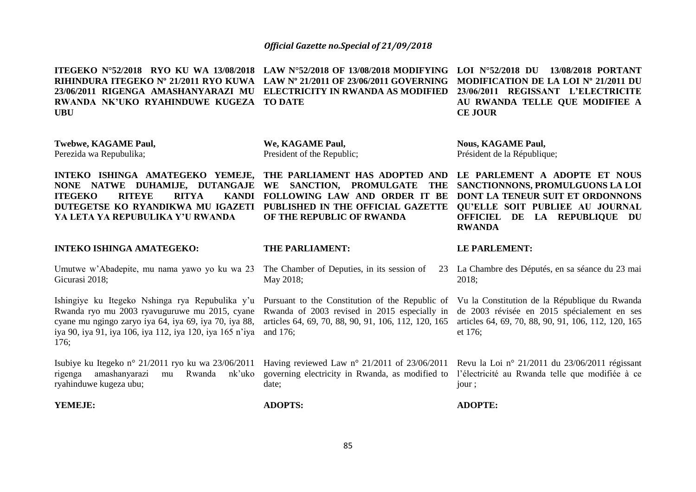**ITEGEKO N°52/2018 RYO KU WA 13/08/2018 LAW N°52/2018 OF 13/08/2018 MODIFYING LOI N°52/2018 DU 13/08/2018 PORTANT** 

**RIHINDURA ITEGEKO Nº 21/2011 RYO KUWA LAW Nº 21/2011 OF 23/06/2011 GOVERNING MODIFICATION DE LA LOI Nº 21/2011 DU 23/06/2011 RIGENGA AMASHANYARAZI MU ELECTRICITY IN RWANDA AS MODIFIED 23/06/2011 REGISSANT L'ELECTRICITE RWANDA NK'UKO RYAHINDUWE KUGEZA TO DATE UBU Twebwe, KAGAME Paul,**  Perezida wa Repubulika; **INTEKO ISHINGA AMATEGEKO YEMEJE, THE PARLIAMENT HAS ADOPTED AND LE PARLEMENT A ADOPTE ET NOUS NONE NATWE DUHAMIJE, DUTANGAJE WE SANCTION, PROMULGATE THE SANCTIONNONS, PROMULGUONS LA LOI ITEGEKO RITEYE RITYA DUTEGETSE KO RYANDIKWA MU IGAZETI PUBLISHED IN THE OFFICIAL GAZETTE QU'ELLE SOIT PUBLIEE AU JOURNAL YA LETA YA REPUBULIKA Y'U RWANDA INTEKO ISHINGA AMATEGEKO:**  Umutwe w'Abadepite, mu nama yawo yo ku wa 23 The Chamber of Deputies, in its session of 23 Gicurasi 2018; Ishingiye ku Itegeko Nshinga rya Repubulika y'u Pursuant to the Constitution of the Republic of Vu la Constitution de la République du Rwanda Rwanda ryo mu 2003 ryavuguruwe mu 2015, cyane Rwanda of 2003 revised in 2015 especially in cyane mu ngingo zaryo iya 64, iya 69, iya 70, iya 88, articles 64, 69, 70, 88, 90, 91, 106, 112, 120, 165 articles 64, 69, 70, 88, 90, 91, 106, 112, 120, 165 iya 90, iya 91, iya 106, iya 112, iya 120, iya 165 n'iya and 176; 176; Isubiye ku Itegeko n° 21/2011 ryo ku wa 23/06/2011 Having reviewed Law n° 21/2011 of 23/06/2011 Revu la Loi n° 21/2011 du 23/06/2011 régissant rigenga amashanyarazi mu Rwanda nk'uko governing electricity in Rwanda, as modified to l'électricité au Rwanda telle que modifiée à ce ryahinduwe kugeza ubu; **We, KAGAME Paul,**  President of the Republic; **FOLLOWING LAW AND ORDER IT BE DONT LA TENEUR SUIT ET ORDONNONS OF THE REPUBLIC OF RWANDA THE PARLIAMENT:**  May 2018; date; **AU RWANDA TELLE QUE MODIFIEE A CE JOUR Nous, KAGAME Paul,**  Président de la République; **OFFICIEL DE LA REPUBLIQUE DU RWANDA LE PARLEMENT:**  La Chambre des Députés, en sa séance du 23 mai 2018; de 2003 révisée en 2015 spécialement en ses et 176; jour ;

**ADOPTE:** 

**ADOPTS:** 

**YEMEJE:**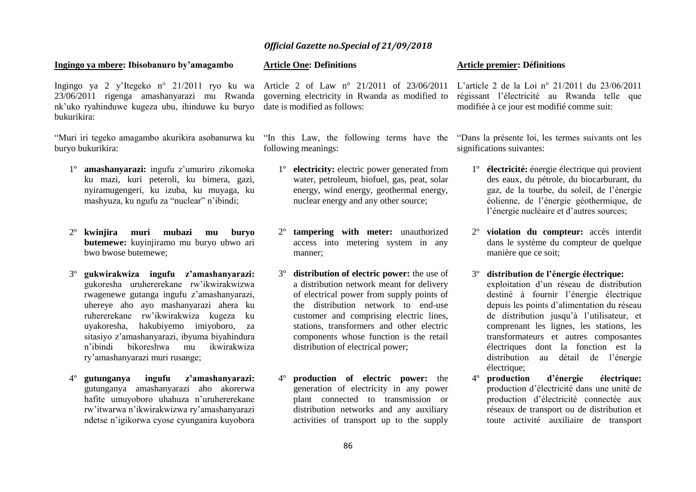#### **Ingingo ya mbere: Ibisobanuro by'amagambo**

Ingingo ya 2 y'Itegeko n° 21/2011 ryo ku wa Article 2 of Law n° 21/2011 of 23/06/2011 L'article 2 de la Loi n° 21/2011 du 23/06/2011 23/06/2011 rigenga amashanyarazi mu Rwanda governing electricity in Rwanda as modified to régissant l'électricité au Rwanda telle que nk'uko ryahinduwe kugeza ubu, ihinduwe ku buryo date is modified as follows: bukurikira:

"Muri iri tegeko amagambo akurikira asobanurwa ku "In this Law, the following terms have the "Dans la présente loi, les termes suivants ont les buryo bukurikira:

- 1º **amashanyarazi:** ingufu z'umuriro zikomoka ku mazi, kuri peteroli, ku bimera, gazi, nyiramugengeri, ku izuba, ku muyaga, ku mashyuza, ku ngufu za "nuclear" n'ibindi;
- 2º **kwinjira muri mubazi mu buryo butemewe:** kuyinjiramo mu buryo ubwo ari bwo bwose butemewe;
- 3º **gukwirakwiza ingufu z'amashanyarazi:** gukoresha uruhererekane rw'ikwirakwizwa rwagenewe gutanga ingufu z'amashanyarazi, uhereye aho ayo mashanyarazi ahera ku ruhererekane rw'ikwirakwiza kugeza ku uyakoresha, hakubiyemo imiyoboro, za sitasiyo z'amashanyarazi, ibyuma biyahindura n'ibindi bikoreshwa mu ikwirakwiza ry'amashanyarazi muri rusange;
- 4º **gutunganya ingufu z'amashanyarazi:**  gutunganya amashanyarazi aho akorerwa hafite umuyoboro uhahuza n'uruhererekane rw'itwarwa n'ikwirakwizwa ry'amashanyarazi ndetse n'igikorwa cyose cyunganira kuyobora

#### **Article One: Definitions**

following meanings:

- 1º **electricity:** electric power generated from water, petroleum, biofuel, gas, peat, solar energy, wind energy, geothermal energy, nuclear energy and any other source;
- **tampering with meter:** unauthorized access into metering system in any manner;
- 3º **distribution of electric power:** the use of a distribution network meant for delivery of electrical power from supply points of the distribution network to end-use customer and comprising electric lines, stations, transformers and other electric components whose function is the retail distribution of electrical power;
- 4º **production of electric power:** the generation of electricity in any power plant connected to transmission or distribution networks and any auxiliary activities of transport up to the supply

#### **Article premier: Définitions**

modifiée à ce jour est modifié comme suit:

significations suivantes:

- 1º **électricité:** énergie électrique qui provient des eaux, du pétrole, du biocarburant, du gaz, de la tourbe, du soleil, de l'énergie éolienne, de l'énergie géothermique, de l'énergie nucléaire et d'autres sources;
- 2º **violation du compteur:** accès interdit dans le système du compteur de quelque manière que ce soit;

3º **distribution de l'énergie électrique:** exploitation d'un réseau de distribution destiné à fournir l'énergie électrique depuis les points d'alimentation du réseau de distribution jusqu'à l'utilisateur, et comprenant les lignes, les stations, les transformateurs et autres composantes électriques dont la fonction est la distribution au détail de l'énergie électrique;

4º **production d'énergie électrique:** production d'électricité dans une unité de production d'électricité connectée aux réseaux de transport ou de distribution et toute activité auxiliaire de transport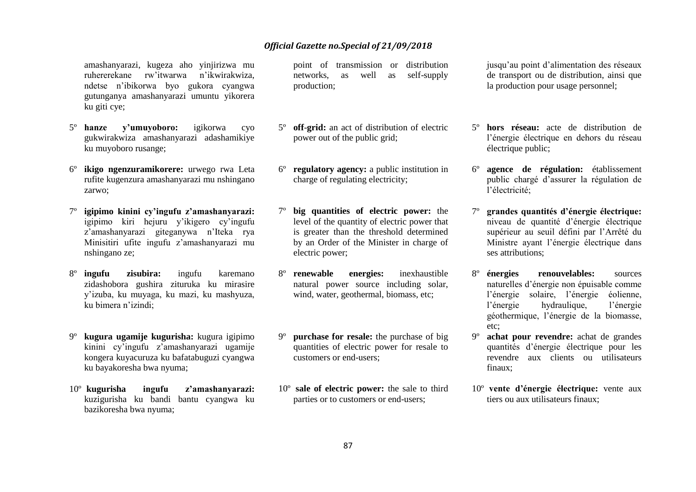amashanyarazi, kugeza aho yinjirizwa mu ruhererekane rw'itwarwa n'ikwirakwiza, ndetse n'ibikorwa byo gukora cyangwa gutunganya amashanyarazi umuntu yikorera ku giti cye;

- 5º **hanze y'umuyoboro:** igikorwa cyo gukwirakwiza amashanyarazi adashamikiye ku muyoboro rusange;
- 6º **ikigo ngenzuramikorere:** urwego rwa Leta rufite kugenzura amashanyarazi mu nshingano zarwo;
- 7º **igipimo kinini cy'ingufu z'amashanyarazi:** igipimo kiri hejuru y'ikigero cy'ingufu z'amashanyarazi giteganywa n'Iteka rya Minisitiri ufite ingufu z'amashanyarazi mu nshingano ze;
- 8º **ingufu zisubira:** ingufu karemano zidashobora gushira zituruka ku mirasire y'izuba, ku muyaga, ku mazi, ku mashyuza, ku bimera n'izindi;
- 9º **kugura ugamije kugurisha:** kugura igipimo kinini cy'ingufu z'amashanyarazi ugamije kongera kuyacuruza ku bafatabuguzi cyangwa ku bayakoresha bwa nyuma;
- 10º **kugurisha ingufu z'amashanyarazi:** kuzigurisha ku bandi bantu cyangwa ku bazikoresha bwa nyuma;

point of transmission or distribution networks, as well as self-supply production;

- 5º **off**-**grid:** an act of distribution of electric power out of the public grid;
- 6º **regulatory agency:** a public institution in charge of regulating electricity;
- 7º **big quantities of electric power:** the level of the quantity of electric power that is greater than the threshold determined by an Order of the Minister in charge of electric power;
- 8º **renewable energies:** inexhaustible natural power source including solar, wind, water, geothermal, biomass, etc;
- 9º **purchase for resale:** the purchase of big quantities of electric power for resale to customers or end-users;
- 10º **sale of electric power:** the sale to third parties or to customers or end-users;

jusqu'au point d'alimentation des réseaux de transport ou de distribution, ainsi que la production pour usage personnel;

- 5º **hors réseau:** acte de distribution de l'énergie électrique en dehors du réseau électrique public;
- 6º **agence de régulation:** établissement public chargé d'assurer la régulation de l'électricité;
- 7º **grandes quantités d'énergie électrique:** niveau de quantité d'énergie électrique supérieur au seuil défini par l'Arrêté du Ministre ayant l'énergie électrique dans ses attributions;
- 8º **énergies renouvelables:** sources naturelles d'énergie non épuisable comme l'énergie solaire, l'énergie éolienne, l'énergie hydraulique, l'énergie géothermique, l'énergie de la biomasse, etc;
- 9º **achat pour revendre:** achat de grandes quantités d'énergie électrique pour les revendre aux clients ou utilisateurs finaux;
- 10º **vente d'énergie électrique:** vente aux tiers ou aux utilisateurs finaux;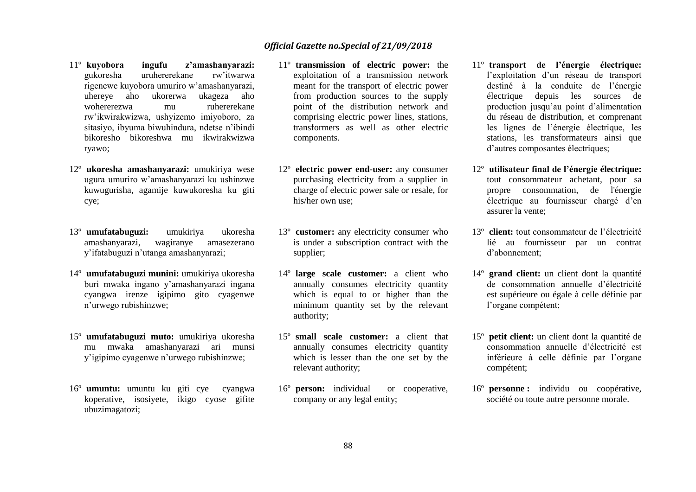- 11º **kuyobora ingufu z'amashanyarazi:** gukoresha uruhererekane rw'itwarwa rigenewe kuyobora umuriro w'amashanyarazi, uhereye aho ukorerwa ukageza aho wohererezwa mu ruhererekane rw'ikwirakwizwa, ushyizemo imiyoboro, za sitasiyo, ibyuma biwuhindura, ndetse n'ibindi bikoresho bikoreshwa mu ikwirakwizwa ryawo;
- 12º **ukoresha amashanyarazi:** umukiriya wese ugura umuriro w'amashanyarazi ku ushinzwe kuwugurisha, agamije kuwukoresha ku giti cye;
- 13º **umufatabuguzi:** umukiriya ukoresha amashanyarazi, wagiranye amasezerano y'ifatabuguzi n'utanga amashanyarazi;
- 14º **umufatabuguzi munini:** umukiriya ukoresha buri mwaka ingano y'amashanyarazi ingana cyangwa irenze igipimo gito cyagenwe n'urwego rubishinzwe;
- 15º **umufatabuguzi muto:** umukiriya ukoresha mu mwaka amashanyarazi ari munsi y'igipimo cyagenwe n'urwego rubishinzwe;
- 16º **umuntu:** umuntu ku giti cye cyangwa koperative, isosiyete, ikigo cyose gifite ubuzimagatozi;
- 11º **transmission of electric power:** the exploitation of a transmission network meant for the transport of electric power from production sources to the supply point of the distribution network and comprising electric power lines, stations, transformers as well as other electric components.
- 12º **electric power end-user:** any consumer purchasing electricity from a supplier in charge of electric power sale or resale, for his/her own use;
- 13º **customer:** any electricity consumer who is under a subscription contract with the supplier;
- 14º **large scale customer:** a client who annually consumes electricity quantity which is equal to or higher than the minimum quantity set by the relevant authority;
- 15º **small scale customer:** a client that annually consumes electricity quantity which is lesser than the one set by the relevant authority;
- 16º **person:** individual or cooperative, company or any legal entity;
- 11º **transport de l'énergie électrique:** l'exploitation d'un réseau de transport destiné à la conduite de l'énergie électrique depuis les sources de production jusqu'au point d'alimentation du réseau de distribution, et comprenant les lignes de l'énergie électrique, les stations, les transformateurs ainsi que d'autres composantes électriques;
- 12º **utilisateur final de l'énergie électrique:**  tout consommateur achetant, pour sa propre consommation, de l'énergie électrique au fournisseur chargé d'en assurer la vente;
- 13º **client:** tout consommateur de l'électricité lié au fournisseur par un contrat d'abonnement;
- 14º **grand client:** un client dont la quantité de consommation annuelle d'électricité est supérieure ou égale à celle définie par l'organe compétent;
- 15º **petit client:** un client dont la quantité de consommation annuelle d'électricité est inférieure à celle définie par l'organe compétent;
- 16º **personne :** individu ou coopérative, société ou toute autre personne morale.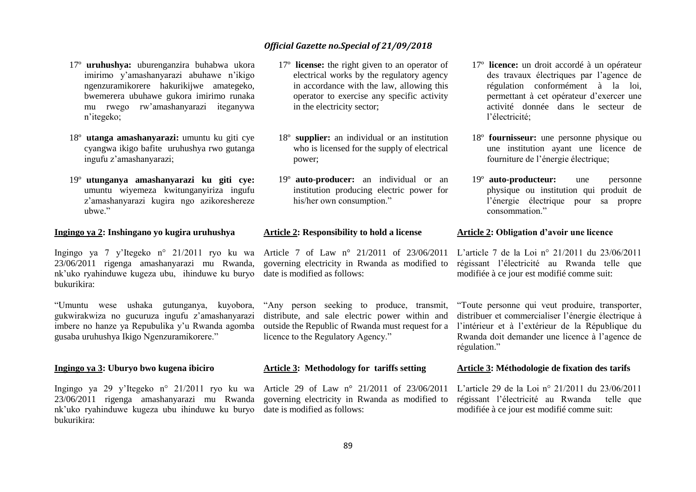- 17º **uruhushya:** uburenganzira buhabwa ukora imirimo y'amashanyarazi abuhawe n'ikigo ngenzuramikorere hakurikijwe amategeko, bwemerera ubuhawe gukora imirimo runaka mu rwego rw'amashanyarazi iteganywa n'itegeko;
- 18º **utanga amashanyarazi:** umuntu ku giti cye cyangwa ikigo bafite uruhushya rwo gutanga ingufu z'amashanyarazi;
- 19º **utunganya amashanyarazi ku giti cye:** umuntu wiyemeza kwitunganyiriza ingufu z'amashanyarazi kugira ngo azikoreshereze ubwe."

#### **Ingingo ya 2: Inshingano yo kugira uruhushya**

Ingingo ya 7 y'Itegeko n° 21/2011 ryo ku wa Article 7 of Law n° 21/2011 of 23/06/2011 23/06/2011 rigenga amashanyarazi mu Rwanda, nk'uko ryahinduwe kugeza ubu, ihinduwe ku buryo date is modified as follows: bukurikira:

"Umuntu wese ushaka gutunganya, kuyobora, gukwirakwiza no gucuruza ingufu z'amashanyarazi imbere no hanze ya Repubulika y'u Rwanda agomba gusaba uruhushya Ikigo Ngenzuramikorere."

#### **Ingingo ya 3: Uburyo bwo kugena ibiciro**

Ingingo ya 29 y'Itegeko n° 21/2011 ryo ku wa Article 29 of Law n° 21/2011 of 23/06/2011 23/06/2011 rigenga amashanyarazi mu Rwanda nk'uko ryahinduwe kugeza ubu ihinduwe ku buryo date is modified as follows: bukurikira:

- 17º **license:** the right given to an operator of electrical works by the regulatory agency in accordance with the law, allowing this operator to exercise any specific activity in the electricity sector;
- 18º **supplier:** an individual or an institution who is licensed for the supply of electrical power;
- 19º **auto**-**producer:** an individual or an institution producing electric power for his/her own consumption."

#### **Article 2: Responsibility to hold a license**

governing electricity in Rwanda as modified to

"Any person seeking to produce, transmit, distribute, and sale electric power within and outside the Republic of Rwanda must request for a licence to the Regulatory Agency."

#### **Article 3: Methodology for tariffs setting**

governing electricity in Rwanda as modified to

- 17º **licence:** un droit accordé à un opérateur des travaux électriques par l'agence de régulation conformément à la loi, permettant à cet opérateur d'exercer une activité donnée dans le secteur de l'électricité;
- 18º **fournisseur:** une personne physique ou une institution ayant une licence de fourniture de l'énergie électrique;
- 19º **auto-producteur:** une personne physique ou institution qui produit de l'énergie électrique pour sa propre consommation."

#### **Article 2: Obligation d'avoir une licence**

L'article 7 de la Loi n° 21/2011 du 23/06/2011 régissant l'électricité au Rwanda telle que modifiée à ce jour est modifié comme suit:

"Toute personne qui veut produire, transporter, distribuer et commercialiser l'énergie électrique à l'intérieur et à l'extérieur de la République du Rwanda doit demander une licence à l'agence de régulation."

#### **Article 3: Méthodologie de fixation des tarifs**

L'article 29 de la Loi n° 21/2011 du 23/06/2011 régissant l'électricité au Rwanda telle que modifiée à ce jour est modifié comme suit: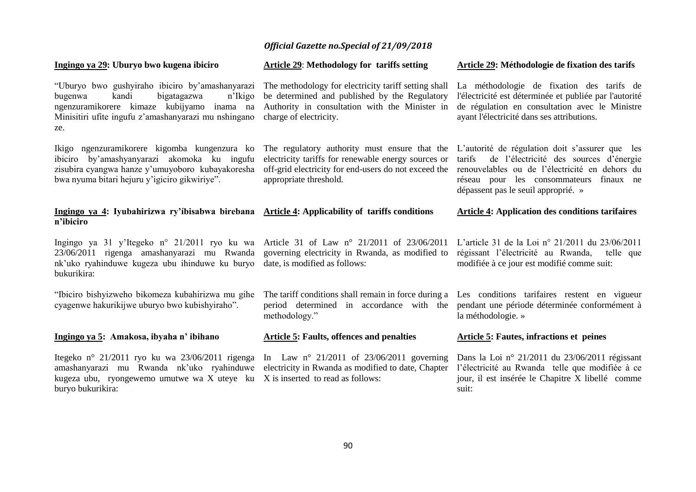#### **Ingingo ya 29: Uburyo bwo kugena ibiciro** "Uburyo bwo gushyiraho ibiciro by'amashanyarazi The methodology for electricity tariff setting shall La méthodologie de fixation des tarifs de bugenwa kandi bigatagazwa n'Ikigo ngenzuramikorere kimaze kubijyamo inama na Minisitiri ufite ingufu z'amashanyarazi mu nshingano charge of electricity. ze. Ikigo ngenzuramikorere kigomba kungenzura ko ibiciro by'amashyanyarazi akomoka ku ingufu zisubira cyangwa hanze y'umuyoboro kubayakoresha bwa nyuma bitari hejuru y'igiciro gikwiriye". **Ingingo ya 4: Iyubahirizwa ry'íbisabwa birebana Article 4: Applicability of tariffs conditions n'ibiciro** Ingingo ya 31 y'Itegeko n° 21/2011 ryo ku wa Article 31 of Law n° 21/2011 of 23/06/2011 23/06/2011 rigenga amashanyarazi mu Rwanda nk'uko ryahinduwe kugeza ubu ihinduwe ku buryo date, is modified as follows: bukurikira: "Ibiciro bishyizweho bikomeza kubahirizwa mu gihe cyagenwe hakurikijwe uburyo bwo kubishyiraho". **Ingingo ya 5: Amakosa, ibyaha n' ibihano Article 29**: **Methodology for tariffs setting** be determined and published by the Regulatory Authority in consultation with the Minister in The regulatory authority must ensure that the L'autorité de régulation doit s'assurer que les electricity tariffs for renewable energy sources or off-grid electricity for end-users do not exceed the renouvelables ou de l'électricité en dehors du appropriate threshold. governing electricity in Rwanda, as modified to The tariff conditions shall remain in force during a Les conditions tarifaires restent en vigueur period determined in accordance with the pendant une période déterminée conformément à methodology." **Article 5: Faults, offences and penalties Article 29: Méthodologie de fixation des tarifs** l'électricité est déterminée et publiée par l'autorité de régulation en consultation avec le Ministre ayant l'électricité dans ses attributions. tarifs de l'électricité des sources d'énergie réseau pour les consommateurs finaux ne dépassent pas le seuil approprié. » **Article 4: Application des conditions tarifaires**  L'article 31 de la Loi n° 21/2011 du 23/06/2011 régissant l'électricité au Rwanda, telle que modifiée à ce jour est modifié comme suit: la méthodologie. » **Article 5: Fautes, infractions et peines**

amashanyarazi mu Rwanda nk'uko ryahinduwe electricity in Rwanda as modified to date, Chapter l'électricité au Rwanda telle que modifiée à ce kugeza ubu, ryongewemo umutwe wa X uteye ku X is inserted to read as follows: buryo bukurikira:

Itegeko n° 21/2011 ryo ku wa 23/06/2011 rigenga In Law n° 21/2011 of 23/06/2011 governing Dans la Loi n° 21/2011 du 23/06/2011 régissant jour, il est insérée le Chapitre X libellé comme suit: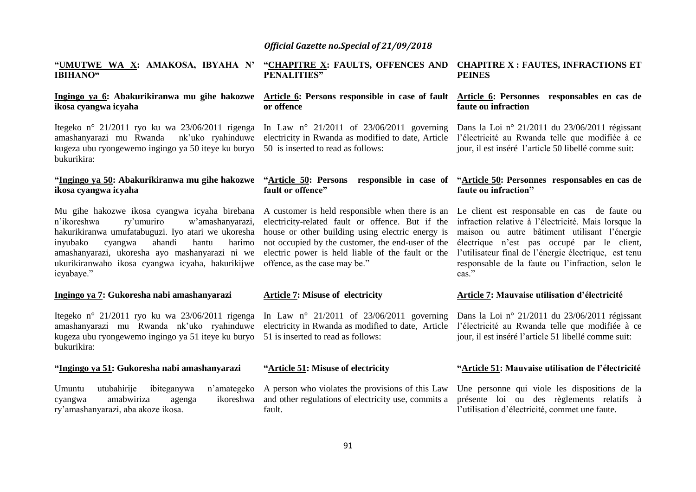#### **"UMUTWE WA X: AMAKOSA, IBYAHA N' IBIHANO"**

## **ikosa cyangwa icyaha**

Itegeko n° 21/2011 ryo ku wa 23/06/2011 rigenga amashanyarazi mu Rwanda nk'uko ryahinduwe electricity in Rwanda as modified to date, Article l'électricité au Rwanda telle que modifiée à ce kugeza ubu ryongewemo ingingo ya 50 iteye ku buryo 50 is inserted to read as follows: bukurikira:

# **ikosa cyangwa icyaha**

Mu gihe hakozwe ikosa cyangwa icyaha birebana A customer is held responsible when there is an n'ikoreshwa ry'umuriro w'amashanyarazi, hakurikiranwa umufatabuguzi. Iyo atari we ukoresha inyubako cyangwa ahandi hantu harimo amashanyarazi, ukoresha ayo mashanyarazi ni we electric power is held liable of the fault or the ukurikiranwaho ikosa cyangwa icyaha, hakurikijwe offence, as the case may be." icyabaye."

#### **Ingingo ya 7: Gukoresha nabi amashanyarazi**

Itegeko n° 21/2011 ryo ku wa 23/06/2011 rigenga amashanyarazi mu Rwanda nk'uko ryahinduwe electricity in Rwanda as modified to date, Article l'électricité au Rwanda telle que modifiée à ce kugeza ubu ryongewemo ingingo ya 51 iteye ku buryo 51 is inserted to read as follows: bukurikira:

#### **"Ingingo ya 51: Gukoresha nabi amashanyarazi**

Umuntu utubahirije ibiteganywa n'amategeko A person who violates the provisions of this Law Une personne qui viole les dispositions de la cyangwa amabwiriza agenga ry'amashanyarazi, aba akoze ikosa.

#### **"CHAPITRE X: FAULTS, OFFENCES AND CHAPITRE X : FAUTES, INFRACTIONS ET PENALITIES" PEINES**

#### **Ingingo ya 6: Abakurikiranwa mu gihe hakozwe Article 6: Persons responsible in case of fault Article 6: Personnes responsables en cas de or offence**

#### **"Ingingo ya 50: Abakurikiranwa mu gihe hakozwe "Article 50: Persons responsible in case of "Article 50: Personnes responsables en cas de fault or offence"**

electricity-related fault or offence. But if the house or other building using electric energy is not occupied by the customer, the end-user of the

#### **Article 7: Misuse of electricity**

#### **"Article 51: Misuse of electricity**

fault.

# **faute ou infraction**

In Law n° 21/2011 of 23/06/2011 governing Dans la Loi n° 21/2011 du 23/06/2011 régissant jour, il est inséré l'article 50 libellé comme suit:

# **faute ou infraction"**

Le client est responsable en cas de faute ou infraction relative à l'électricité. Mais lorsque la maison ou autre bâtiment utilisant l'énergie électrique n'est pas occupé par le client, l'utilisateur final de l'énergie électrique, est tenu responsable de la faute ou l'infraction, selon le cas."

#### **Article 7: Mauvaise utilisation d'électricité**

In Law n° 21/2011 of 23/06/2011 governing Dans la Loi n° 21/2011 du 23/06/2011 régissant jour, il est inséré l'article 51 libellé comme suit:

#### **"Article 51: Mauvaise utilisation de l'électricité**

and other regulations of electricity use, commits a présente loi ou des règlements relatifs à l'utilisation d'électricité, commet une faute.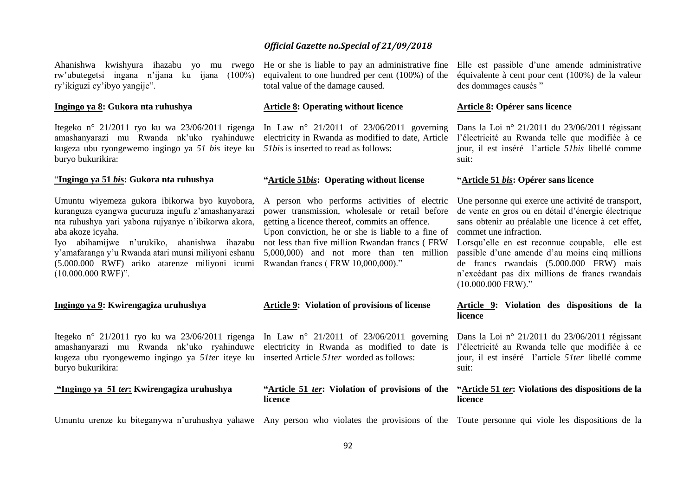Ahanishwa kwishyura ihazabu yo mu rwego rw'ubutegetsi ingana n'ijana ku ijana (100%) ry'ikiguzi cy'ibyo yangije".

#### **Ingingo ya 8: Gukora nta ruhushya**

Itegeko n° 21/2011 ryo ku wa 23/06/2011 rigenga In Law n° 21/2011 of 23/06/2011 governing Dans la Loi n° 21/2011 du 23/06/2011 régissant amashanyarazi mu Rwanda nk'uko ryahinduwe electricity in Rwanda as modified to date, Article l'électricité au Rwanda telle que modifiée à ce kugeza ubu ryongewemo ingingo ya *51 bis* iteye ku *51bis* is inserted to read as follows: buryo bukurikira:

#### "**Ingingo ya 51** *bi***s: Gukora nta ruhushya**

Umuntu wiyemeza gukora ibikorwa byo kuyobora, kuranguza cyangwa gucuruza ingufu z'amashanyarazi nta ruhushya yari yabona rujyanye n'ibikorwa akora, aba akoze icyaha.

y'amafaranga y'u Rwanda atari munsi miliyoni eshanu 5,000,000) and not more than ten million (5.000.000 RWF) ariko atarenze miliyoni icumi Rwandan francs ( FRW 10,000,000)." (10.000.000 RWF)".

#### **Ingingo ya 9: Kwirengagiza uruhushya**

Itegeko n° 21/2011 ryo ku wa 23/06/2011 rigenga In Law n° 21/2011 of 23/06/2011 governing amashanyarazi mu Rwanda nk'uko ryahinduwe electricity in Rwanda as modified to date is l'électricité au Rwanda telle que modifiée à ce kugeza ubu ryongewemo ingingo ya *51ter* iteye ku inserted Article *51ter* worded as follows: buryo bukurikira:

### **"Ingingo ya 51** *ter***: Kwirengagiza uruhushya**

He or she is liable to pay an administrative fine Elle est passible d'une amende administrative equivalent to one hundred per cent (100%) of the total value of the damage caused.

#### **Article 8: Operating without licence**

#### **"Article 51***bis***: Operating without license**

A person who performs activities of electric power transmission, wholesale or retail before getting a licence thereof, commits an offence.

Iyo abihamijwe n'urukiko, ahanishwa ihazabu not less than five million Rwandan francs ( FRW Upon conviction, he or she is liable to a fine of commet une infraction.

#### **Article 9: Violation of provisions of license**

#### **"Article 51** *ter***: Violation of provisions of the "Article 51** *ter***: Violations des dispositions de la licence**

équivalente à cent pour cent (100%) de la valeur des dommages causés "

#### **Article 8: Opérer sans licence**

jour, il est inséré l'article *51bis* libellé comme suit:

#### **"Article 51** *bis***: Opérer sans licence**

Une personne qui exerce une activité de transport, de vente en gros ou en détail d'énergie électrique sans obtenir au préalable une licence à cet effet,

Lorsqu'elle en est reconnue coupable, elle est passible d'une amende d'au moins cinq millions de francs rwandais (5.000.000 FRW) mais n'excédant pas dix millions de francs rwandais (10.000.000 FRW)."

#### **Article 9: Violation des dispositions de la licence**

Dans la Loi n° 21/2011 du 23/06/2011 régissant jour, il est inséré l'article *51ter* libellé comme suit:

### **licence**

Umuntu urenze ku biteganywa n'uruhushya yahawe Any person who violates the provisions of the Toute personne qui viole les dispositions de la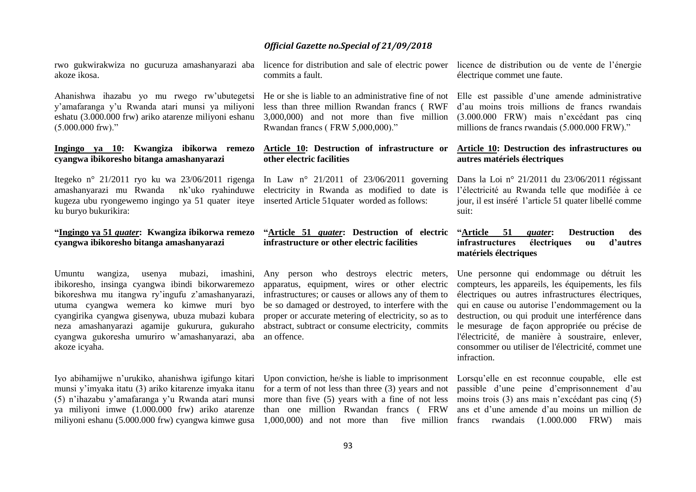rwo gukwirakwiza no gucuruza amashanyarazi aba licence for distribution and sale of electric power akoze ikosa.

Ahanishwa ihazabu yo mu rwego rw'ubutegetsi y'amafaranga y'u Rwanda atari munsi ya miliyoni eshatu (3.000.000 frw) ariko atarenze miliyoni eshanu  $(5.000.000$  frw)."

#### **Ingingo ya 10: Kwangiza ibikorwa remezo cyangwa ibikoresho bitanga amashanyarazi**

Itegeko n° 21/2011 ryo ku wa 23/06/2011 rigenga amashanyarazi mu Rwandank'uko ryahinduwe electricity in Rwanda as modified to date is kugeza ubu ryongewemo ingingo ya 51 quater iteye inserted Article 51quater worded as follows: ku buryo bukurikira:

#### **"Ingingo ya 51** *quater***: Kwangiza ibikorwa remezo cyangwa ibikoresho bitanga amashanyarazi**

Umuntu wangiza, usenya mubazi, imashini, ibikoresho, insinga cyangwa ibindi bikorwaremezo bikoreshwa mu itangwa ry'ingufu z'amashanyarazi, utuma cyangwa wemera ko kimwe muri byo cyangirika cyangwa gisenywa, ubuza mubazi kubara neza amashanyarazi agamije gukurura, gukuraho cyangwa gukoresha umuriro w'amashanyarazi, aba akoze icyaha.

Iyo abihamijwe n'urukiko, ahanishwa igifungo kitari munsi y'imyaka itatu (3) ariko kitarenze imyaka itanu (5) n'ihazabu y'amafaranga y'u Rwanda atari munsi ya miliyoni imwe (1.000.000 frw) ariko atarenze commits a fault.

less than three million Rwandan francs ( RWF 3,000,000) and not more than five million (3.000.000 FRW) mais n'excédant pas cinq Rwandan francs ( FRW 5,000,000)."

#### **Article 10: Destruction of infrastructure or other electric facilities**

#### **"Article 51** *quater***: Destruction of electric infrastructure or other electric facilities**

Any person who destroys electric meters, apparatus, equipment, wires or other electric infrastructures; or causes or allows any of them to be so damaged or destroyed, to interfere with the proper or accurate metering of electricity, so as to abstract, subtract or consume electricity, commits an offence.

licence de distribution ou de vente de l'énergie électrique commet une faute.

He or she is liable to an administrative fine of not Elle est passible d'une amende administrative d'au moins trois millions de francs rwandais millions de francs rwandais (5.000.000 FRW)."

#### **Article 10: Destruction des infrastructures ou autres matériels électriques**

In Law n° 21/2011 of 23/06/2011 governing Dans la Loi n° 21/2011 du 23/06/2011 régissant l'électricité au Rwanda telle que modifiée à ce jour, il est inséré l'article 51 quater libellé comme suit:

#### **"Article 51** *quater***: Destruction des infrastructures électriques ou d'autres matériels électriques**

Une personne qui endommage ou détruit les compteurs, les appareils, les équipements, les fils électriques ou autres infrastructures électriques, qui en cause ou autorise l'endommagement ou la destruction, ou qui produit une interférence dans le mesurage de façon appropriée ou précise de l'électricité, de manière à soustraire, enlever, consommer ou utiliser de l'électricité, commet une infraction.

for a term of not less than three (3) years and not more than five (5) years with a fine of not less moins trois (3) ans mais n'excédant pas cinq (5) than one million Rwandan francs ( FRW

miliyoni eshanu (5.000.000 frw) cyangwa kimwe gusa 1,000,000) and not more than five million francs rwandais (1.000.000 FRW) mais Upon conviction, he/she is liable to imprisonment Lorsqu'elle en est reconnue coupable, elle est passible d'une peine d'emprisonnement d'au ans et d'une amende d'au moins un million de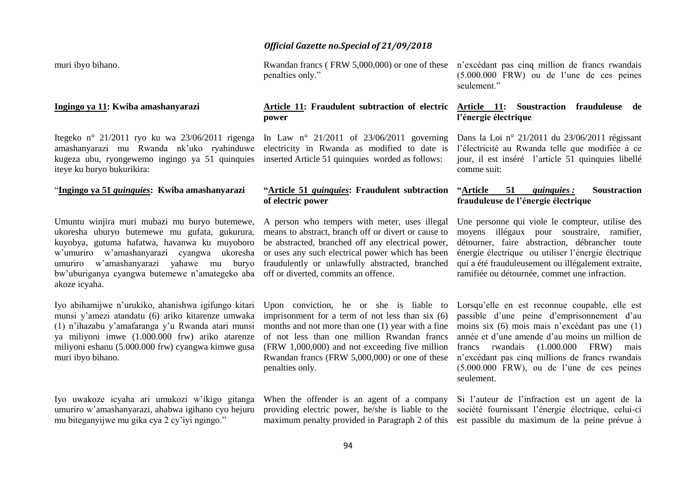muri ibyo bihano.

#### **Ingingo ya 11: Kwiba amashanyarazi**

Itegeko n° 21/2011 ryo ku wa 23/06/2011 rigenga amashanyarazi mu Rwanda nk'uko ryahinduwe kugeza ubu, ryongewemo ingingo ya 51 quinquies inserted Article 51 quinquies worded as follows: iteye ku buryo bukurikira:

#### "**Ingingo ya 51** *quinquies***: Kwiba amashanyarazi**

Umuntu winjira muri mubazi mu buryo butemewe, ukoresha uburyo butemewe mu gufata, gukurura, kuyobya, gutuma hafatwa, havanwa ku muyoboro w'umuriro w'amashanyarazi cyangwa ukoresha umuriro w'amashanyarazi yahawe mu buryo bw'uburiganya cyangwa butemewe n'amategeko aba off or diverted, commits an offence. akoze icyaha.

Iyo abihamijwe n'urukiko, ahanishwa igifungo kitari munsi y'amezi atandatu (6) ariko kitarenze umwaka (1) n'ihazabu y'amafaranga y'u Rwanda atari munsi ya miliyoni imwe (1.000.000 frw) ariko atarenze miliyoni eshanu (5.000.000 frw) cyangwa kimwe gusa muri ibyo bihano.

Iyo uwakoze icyaha ari umukozi w'ikigo gitanga umuriro w'amashanyarazi, ahabwa igihano cyo hejuru mu biteganyijwe mu gika cya 2 cy'iyi ngingo."

#### *Official Gazette no.Special of 21/09/2018*

penalties only."

#### **Article 11: Fraudulent subtraction of electric power**

electricity in Rwanda as modified to date is

#### **"Article 51** *quinquies***: Fraudulent subtraction "Article 51** *quinquies :* **Soustraction of electric power**

A person who tempers with meter, uses illegal means to abstract, branch off or divert or cause to be abstracted, branched off any electrical power, or uses any such electrical power which has been fraudulently or unlawfully abstracted, branched

Upon conviction, he or she is liable to imprisonment for a term of not less than six (6) months and not more than one (1) year with a fine of not less than one million Rwandan francs (FRW 1,000,000) and not exceeding five million francs rwandais (1.000.000 FRW) mais Rwandan francs (FRW 5,000,000) or one of these penalties only.

When the offender is an agent of a company providing electric power, he/she is liable to the

Rwandan francs ( FRW 5,000,000) or one of these n'excédant pas cinq million de francs rwandais (5.000.000 FRW) ou de l'une de ces peines seulement."

#### **Article 11: Soustraction frauduleuse de l'énergie électrique**

In Law n° 21/2011 of 23/06/2011 governing Dans la Loi n° 21/2011 du 23/06/2011 régissant l'électricité au Rwanda telle que modifiée à ce jour, il est inséré l'article 51 quinquies libellé comme suit:

# **frauduleuse de l'énergie électrique**

Une personne qui viole le compteur, utilise des moyens illégaux pour soustraire, ramifier, détourner, faire abstraction, débrancher toute énergie électrique ou utiliser l'énergie électrique qui a été frauduleusement ou illégalement extraite, ramifiée ou détournée, commet une infraction.

Lorsqu'elle en est reconnue coupable, elle est passible d'une peine d'emprisonnement d'au moins six (6) mois mais n'excédant pas une (1) année et d'une amende d'au moins un million de n'excédant pas cinq millions de francs rwandais (5.000.000 FRW), ou de l'une de ces peines seulement.

maximum penalty provided in Paragraph 2 of this est passible du maximum de la peine prévue à Si l'auteur de l'infraction est un agent de la société fournissant l'énergie électrique, celui-ci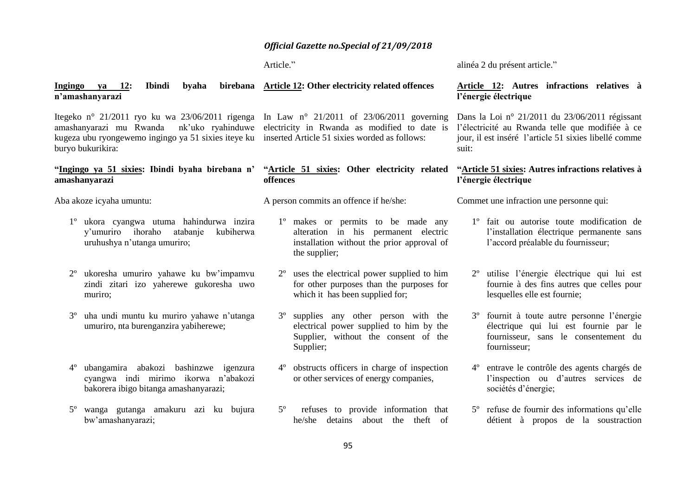Article."

alinéa 2 du présent article."

#### 95 Ingingo ya 12: Ibindi byaha **n'amashanyarazi** Itegeko n° 21/2011 ryo ku wa 23/06/2011 rigenga In Law n° 21/2011 of 23/06/2011 governing amashanyarazi mu Rwanda kugeza ubu ryongewemo ingingo ya 51 sixies iteye ku inserted Article 51 sixies worded as follows: buryo bukurikira: **"Ingingo ya 51 sixies: Ibindi byaha birebana n' amashanyarazi** Aba akoze icyaha umuntu: 1º ukora cyangwa utuma hahindurwa inzira y'umuriro ihoraho atabanje kubiherwa uruhushya n'utanga umuriro; 2º ukoresha umuriro yahawe ku bw'impamvu zindi zitari izo yaherewe gukoresha uwo muriro; 3º uha undi muntu ku muriro yahawe n'utanga umuriro, nta burenganzira yabiherewe; 4º ubangamira abakozi bashinzwe igenzura cyangwa indi mirimo ikorwa n'abakozi bakorera ibigo bitanga amashanyarazi; 5º wanga gutanga amakuru azi ku bujura bw'amashanyarazi; **Article 12: Other electricity related offences**  nk'uko rvahinduwe electricity in Rwanda as modified to date is **"Article 51 sixies: Other electricity related offences**  A person commits an offence if he/she: 1º makes or permits to be made any alteration in his permanent electric installation without the prior approval of the supplier; 2º uses the electrical power supplied to him for other purposes than the purposes for which it has been supplied for; 3º supplies any other person with the electrical power supplied to him by the Supplier, without the consent of the Supplier; 4º obstructs officers in charge of inspection or other services of energy companies, 5º refuses to provide information that he/she detains about the theft of **Article 12: Autres infractions relatives à l'énergie électrique** Dans la Loi n° 21/2011 du 23/06/2011 régissant l'électricité au Rwanda telle que modifiée à ce jour, il est inséré l'article 51 sixies libellé comme suit: **"Article 51 sixies: Autres infractions relatives à l'énergie électrique** Commet une infraction une personne qui: 1º fait ou autorise toute modification de l'installation électrique permanente sans l'accord préalable du fournisseur; 2º utilise l'énergie électrique qui lui est fournie à des fins autres que celles pour lesquelles elle est fournie; 3º fournit à toute autre personne l'énergie électrique qui lui est fournie par le fournisseur, sans le consentement du fournisseur; 4º entrave le contrôle des agents chargés de l'inspection ou d'autres services de sociétés d'énergie; 5º refuse de fournir des informations qu'elle détient à propos de la soustraction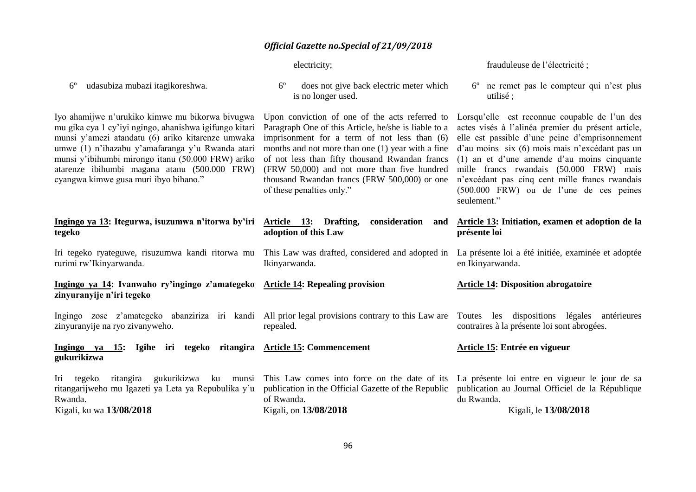electricity;

**adoption of this Law** 

Ikinyarwanda.

repealed.

frauduleuse de l'électricité ;

6º ne remet pas le compteur qui n'est plus utilisé ;

Iyo ahamijwe n'urukiko kimwe mu bikorwa bivugwa mu gika cya 1 cy'iyi ngingo, ahanishwa igifungo kitari munsi y'amezi atandatu (6) ariko kitarenze umwaka umwe (1) n'ihazabu y'amafaranga y'u Rwanda atari munsi y'ibihumbi mirongo itanu (50.000 FRW) ariko atarenze ibihumbi magana atanu (500.000 FRW) cyangwa kimwe gusa muri ibyo bihano."

6º udasubiza mubazi itagikoreshwa.

#### **Ingingo ya 13: Itegurwa, isuzumwa n'itorwa by'iri tegeko**

Iri tegeko ryateguwe, risuzumwa kandi ritorwa mu This Law was drafted, considered and adopted in La présente loi a été initiée, examinée et adoptée rurimi rw'Ikinyarwanda.

**Ingingo ya 14: Ivanwaho ry'ingingo z'amategeko Article 14: Repealing provision zinyuranyije n'iri tegeko** 

zinyuranyije na ryo zivanyweho.

#### 6º does not give back electric meter which is no longer used.

Upon conviction of one of the acts referred to Paragraph One of this Article, he/she is liable to a imprisonment for a term of not less than (6) of not less than fifty thousand Rwandan francs (FRW 50,000) and not more than five hundred thousand Rwandan francs (FRW 500,000) or one of these penalties only."

months and not more than one (1) year with a fine d'au moins six (6) mois mais n'excédant pas un actes visés à l'alinéa premier du présent article, elle est passible d'une peine d'emprisonnement (1) an et d'une amende d'au moins cinquante mille francs rwandais (50.000 FRW) mais n'excédant pas cinq cent mille francs rwandais (500.000 FRW) ou de l'une de ces peines seulement."

Lorsqu'elle est reconnue coupable de l'un des

#### **Article 13: Drafting, consideration and Article 13: Initiation, examen et adoption de la présente loi**

en Ikinyarwanda.

#### **Article 14: Disposition abrogatoire**

**Article 15: Entrée en vigueur** 

Ingingo zose z'amategeko abanziriza iri kandi All-prior-legal-provisions-contrary-to-this-Law-are Toutes les dispositions légales antérieures contraires à la présente loi sont abrogées.

### **Ingingo ya 15: Igihe iri tegeko ritangira Article 15: Commencement gukurikizwa**

|                          |  |  |  |  | Iri tegeko ritangira gukurikizwa ku munsi This Law comes into force on the date of its La présente loi entre en vigueur le jour de sa                    |            |                       |  |  |
|--------------------------|--|--|--|--|----------------------------------------------------------------------------------------------------------------------------------------------------------|------------|-----------------------|--|--|
|                          |  |  |  |  | ritangarijweho mu Igazeti ya Leta ya Repubulika y'u publication in the Official Gazette of the Republic publication au Journal Officiel de la République |            |                       |  |  |
| Rwanda.                  |  |  |  |  | of Rwanda.                                                                                                                                               | du Rwanda. |                       |  |  |
| Kigali, ku wa 13/08/2018 |  |  |  |  | Kigali, on 13/08/2018                                                                                                                                    |            | Kigali, le 13/08/2018 |  |  |